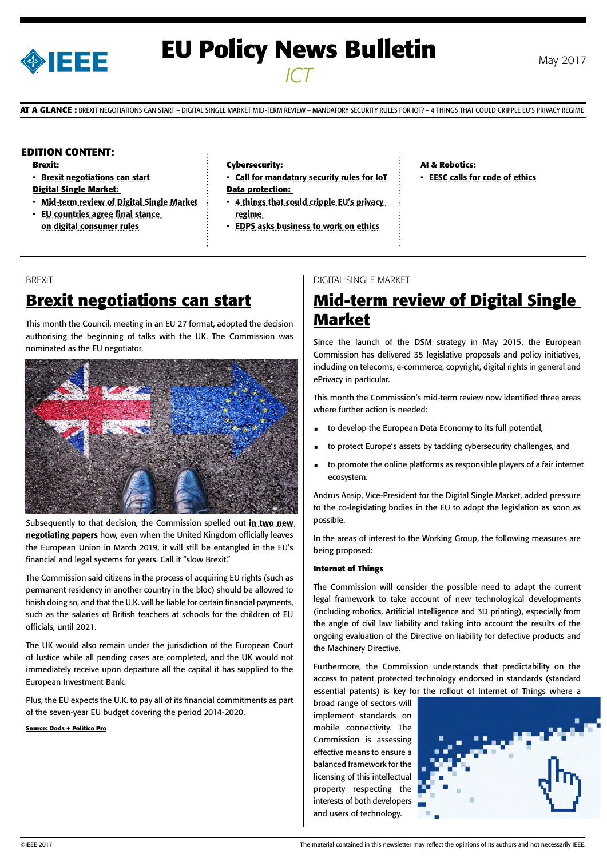

# **EU Policy News Bulletin** May 2017 *ICT*

**AT A GLANCE :** BREXIT NEGOTIATIONS CAN START – DIGITAL SINGLE MARKET MID-TERM REVIEW – MANDATORY SECURITY RULES FOR IOT? – 4 THINGS THAT COULD CRIPPLE EU'S PRIVACY REGIME

## **EDITION CONTENT:**

**Brexit:** 

- [Brexit negotiations can start](#page-0-0)
- **Digital Single Market:**
- [Mid-term review of Digital Single Market](#page-0-0)
- [EU countries agree final stance](#page-1-0)  [on digital consumer rules](#page-1-0)

#### **Cybersecurity:**

- [Call for mandatory security rules for IoT](#page-1-0) **Data protection:**
- 4 things that could cripple EU's privacy [regime](#page-1-0)
- [EDPS asks business to work on ethics](#page-2-0)

**AI & Robotics:**  • [EESC calls for code of ethics](#page-2-0)

#### BREXIT

## **Brexit negotiations can start**

This month the Council, meeting in an EU 27 format, adopted the decision authorising the beginning of talks with the UK. The Commission was nominated as the EU negotiator.



Subsequently to that decision, the Commission spelled out in two new [negotiating papers](https://ec.europa.eu/commission/publications/draft-eu-position-papers-article-50-negotiations_en) how, even when the United Kingdom officially leaves the European Union in March 2019, it will still be entangled in the EU's financial and legal systems for years. Call it "slow Brexit."

The Commission said citizens in the process of acquiring EU rights (such as permanent residency in another country in the bloc) should be allowed to finish doing so, and that the U.K. will be liable for certain financial payments, such as the salaries of British teachers at schools for the children of EU officials, until 2021.

The UK would also remain under the jurisdiction of the European Court of Justice while all pending cases are completed, and the UK would not immediately receive upon departure all the capital it has supplied to the European Investment Bank.

Plus, the EU expects the U.K. to pay all of its financial commitments as part of the seven-year EU budget covering the period 2014-2020.

<span id="page-0-0"></span>**Source: Dods + Politico Pro**

## DIGITAL SINGLE MARKET

## **Mid-term review of Digital Single Market**

Since the launch of the DSM strategy in May 2015, the European Commission has delivered 35 legislative proposals and policy initiatives, including on telecoms, e-commerce, copyright, digital rights in general and ePrivacy in particular.

This month the Commission's mid-term review now identified three areas where further action is needed:

- to develop the European Data Economy to its full potential,
- to protect Europe's assets by tackling cybersecurity challenges, and
- to promote the online platforms as responsible players of a fair internet ecosystem.

Andrus Ansip, Vice-President for the Digital Single Market, added pressure to the co-legislating bodies in the EU to adopt the legislation as soon as possible.

In the areas of interest to the Working Group, the following measures are being proposed:

#### **Internet of Things**

The Commission will consider the possible need to adapt the current legal framework to take account of new technological developments (including robotics, Artificial Intelligence and 3D printing), especially from the angle of civil law liability and taking into account the results of the ongoing evaluation of the Directive on liability for defective products and the Machinery Directive.

Furthermore, the Commission understands that predictability on the access to patent protected technology endorsed in standards (standard essential patents) is key for the rollout of Internet of Things where a

broad range of sectors will implement standards on mobile connectivity. The Commission is assessing effective means to ensure a balanced framework for the licensing of this intellectual property respecting the interests of both developers and users of technology.

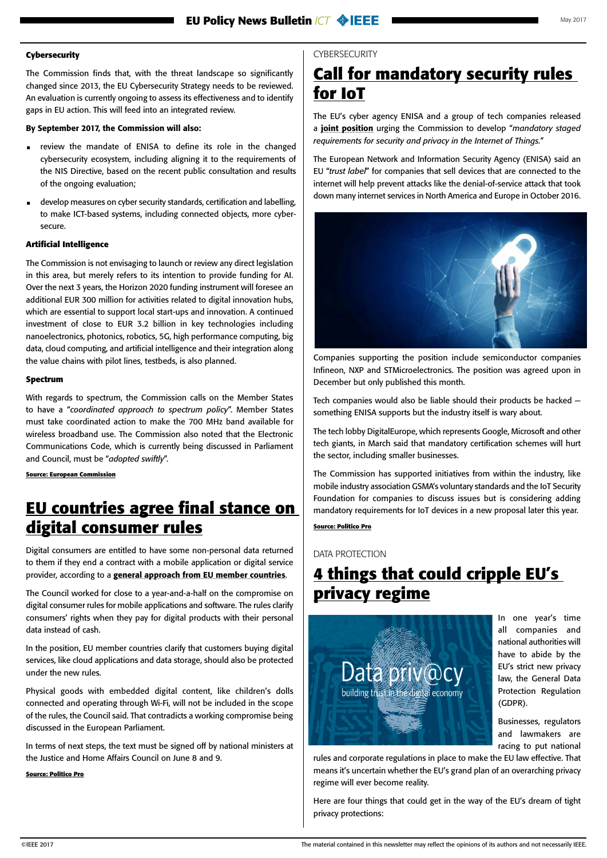### <span id="page-1-0"></span>**Cybersecurity**

The Commission finds that, with the threat landscape so significantly changed since 2013, the EU Cybersecurity Strategy needs to be reviewed. An evaluation is currently ongoing to assess its effectiveness and to identify gaps in EU action. This will feed into an integrated review.

### By September 2017, the Commission will also:

- review the mandate of ENISA to define its role in the changed cybersecurity ecosystem, including aligning it to the requirements of the NIS Directive, based on the recent public consultation and results of the ongoing evaluation;
- develop measures on cyber security standards, certification and labelling, to make ICT-based systems, including connected objects, more cybersecure.

### **Artificial Intelligence**

The Commission is not envisaging to launch or review any direct legislation in this area, but merely refers to its intention to provide funding for AI. Over the next 3 years, the Horizon 2020 funding instrument will foresee an additional EUR 300 million for activities related to digital innovation hubs, which are essential to support local start-ups and innovation. A continued investment of close to EUR 3.2 billion in key technologies including nanoelectronics, photonics, robotics, 5G, high performance computing, big data, cloud computing, and artificial intelligence and their integration along the value chains with pilot lines, testbeds, is also planned.

#### **Spectrum**

With regards to spectrum, the Commission calls on the Member States to have a "*coordinated approach to spectrum policy*". Member States must take coordinated action to make the 700 MHz band available for wireless broadband use. The Commission also noted that the Electronic Communications Code, which is currently being discussed in Parliament and Council, must be "*adopted swiftly*".

**Source: European Commission**

## **EU countries agree final stance on digital consumer rules**

Digital consumers are entitled to have some non-personal data returned to them if they end a contract with a mobile application or digital service provider, according to a [general approach from EU member countries](http://g8fip1kplyr33r3krz5b97d1.wpengine.netdna-cdn.com/wp-content/uploads/2017/06/digital-content-final-council-position.pdf).

The Council worked for close to a year-and-a-half on the compromise on digital consumer rules for mobile applications and software. The rules clarify consumers' rights when they pay for digital products with their personal data instead of cash.

In the position, EU member countries clarify that customers buying digital services, like cloud applications and data storage, should also be protected under the new rules.

Physical goods with embedded digital content, like children's dolls connected and operating through Wi-Fi, will not be included in the scope of the rules, the Council said. That contradicts a working compromise being discussed in the European Parliament.

In terms of next steps, the text must be signed off by national ministers at the Justice and Home Affairs Council on June 8 and 9.

#### **Source: Politico Pro**

## **CYBERSECURITY**

## **Call for mandatory security rules for IoT**

The EU's cyber agency ENISA and a group of tech companies released a [joint position](https://www.enisa.europa.eu/publications/enisa-position-papers-and-opinions/infineon-nxp-st-enisa-position-on-cybersecurity) urging the Commission to develop "*mandatory staged requirements for security and privacy in the Internet of Things.*"

The European Network and Information Security Agency (ENISA) said an EU "*trust label*" for companies that sell devices that are connected to the internet will help prevent attacks like the denial-of-service attack that took down many internet services in North America and Europe in October 2016.



Companies supporting the position include semiconductor companies Infineon, NXP and STMicroelectronics. The position was agreed upon in December but only published this month.

Tech companies would also be liable should their products be hacked something ENISA supports but the industry itself is wary about.

The tech lobby DigitalEurope, which represents Google, Microsoft and other tech giants, in March said that mandatory certification schemes will hurt the sector, including smaller businesses.

The Commission has supported initiatives from within the industry, like mobile industry association GSMA's voluntary standards and the IoT Security Foundation for companies to discuss issues but is considering adding mandatory requirements for IoT devices in a new proposal later this year.

### **Source: Politico Pro**

DATA PROTECTION

## **4 things that could cripple EU's privacy regime**



In one year's time all companies and national authorities will have to abide by the EU's strict new privacy law, the General Data Protection Regulation (GDPR).

Businesses, regulators and lawmakers are racing to put national

rules and corporate regulations in place to make the EU law effective. That means it's uncertain whether the EU's grand plan of an overarching privacy regime will ever become reality.

Here are four things that could get in the way of the EU's dream of tight privacy protections: